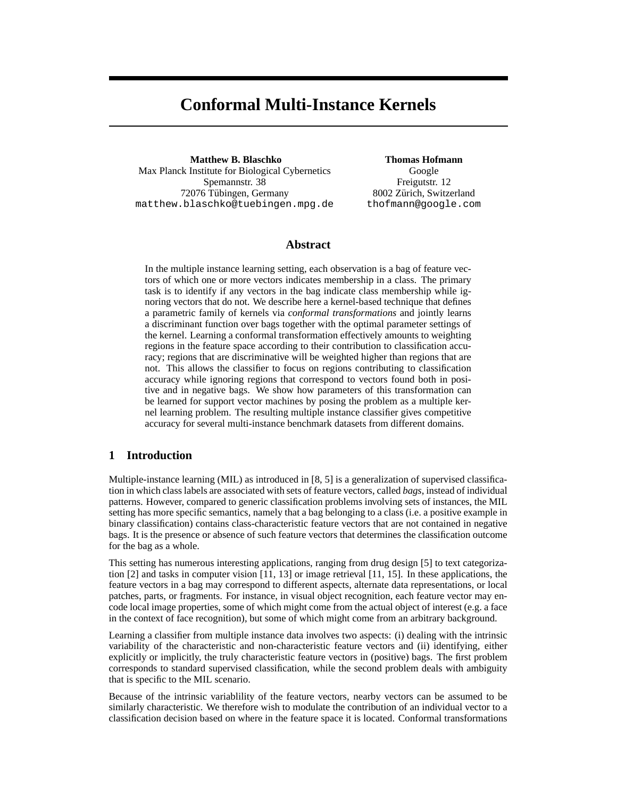# **Conformal Multi-Instance Kernels**

**Matthew B. Blaschko** Max Planck Institute for Biological Cybernetics Spemannstr. 38 72076 Tübingen, Germany matthew.blaschko@tuebingen.mpg.de

**Thomas Hofmann** Google Freigutstr. 12 8002 Zürich, Switzerland thofmann@google.com

# **Abstract**

In the multiple instance learning setting, each observation is a bag of feature vectors of which one or more vectors indicates membership in a class. The primary task is to identify if any vectors in the bag indicate class membership while ignoring vectors that do not. We describe here a kernel-based technique that defines a parametric family of kernels via *conformal transformations* and jointly learns a discriminant function over bags together with the optimal parameter settings of the kernel. Learning a conformal transformation effectively amounts to weighting regions in the feature space according to their contribution to classification accuracy; regions that are discriminative will be weighted higher than regions that are not. This allows the classifier to focus on regions contributing to classification accuracy while ignoring regions that correspond to vectors found both in positive and in negative bags. We show how parameters of this transformation can be learned for support vector machines by posing the problem as a multiple kernel learning problem. The resulting multiple instance classifier gives competitive accuracy for several multi-instance benchmark datasets from different domains.

# **1 Introduction**

Multiple-instance learning (MIL) as introduced in [8, 5] is a generalization of supervised classification in which classlabels are associated with sets of feature vectors, called *bags*, instead of individual patterns. However, compared to generic classification problems involving sets of instances, the MIL setting has more specific semantics, namely that a bag belonging to a class (i.e. a positive example in binary classification) contains class-characteristic feature vectors that are not contained in negative bags. It is the presence or absence of such feature vectors that determines the classification outcome for the bag as a whole.

This setting has numerous interesting applications, ranging from drug design [5] to text categorization [2] and tasks in computer vision [11, 13] or image retrieval [11, 15]. In these applications, the feature vectors in a bag may correspond to different aspects, alternate data representations, or local patches, parts, or fragments. For instance, in visual object recognition, each feature vector may encode local image properties, some of which might come from the actual object of interest (e.g. a face in the context of face recognition), but some of which might come from an arbitrary background.

Learning a classifier from multiple instance data involves two aspects: (i) dealing with the intrinsic variability of the characteristic and non-characteristic feature vectors and (ii) identifying, either explicitly or implicitly, the truly characteristic feature vectors in (positive) bags. The first problem corresponds to standard supervised classification, while the second problem deals with ambiguity that is specific to the MIL scenario.

Because of the intrinsic variablility of the feature vectors, nearby vectors can be assumed to be similarly characteristic. We therefore wish to modulate the contribution of an individual vector to a classification decision based on where in the feature space it is located. Conformal transformations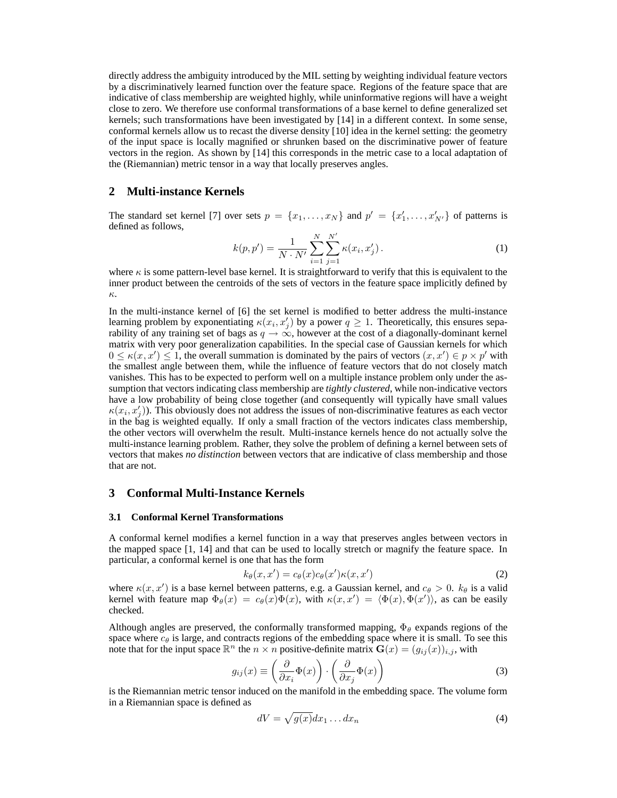directly address the ambiguity introduced by the MIL setting by weighting individual feature vectors by a discriminatively learned function over the feature space. Regions of the feature space that are indicative of class membership are weighted highly, while uninformative regions will have a weight close to zero. We therefore use conformal transformations of a base kernel to define generalized set kernels; such transformations have been investigated by [14] in a different context. In some sense, conformal kernels allow us to recast the diverse density [10] idea in the kernel setting: the geometry of the input space is locally magnified or shrunken based on the discriminative power of feature vectors in the region. As shown by [14] this corresponds in the metric case to a local adaptation of the (Riemannian) metric tensor in a way that locally preserves angles.

## **2 Multi-instance Kernels**

The standard set kernel [7] over sets  $p = \{x_1, \ldots, x_N\}$  and  $p' = \{x'_1, \ldots, x'_{N'}\}$  of patterns is defined as follows,

$$
k(p, p') = \frac{1}{N \cdot N'} \sum_{i=1}^{N} \sum_{j=1}^{N'} \kappa(x_i, x'_j).
$$
 (1)

where  $\kappa$  is some pattern-level base kernel. It is straightforward to verify that this is equivalent to the inner product between the centroids of the sets of vectors in the feature space implicitly defined by κ.

In the multi-instance kernel of [6] the set kernel is modified to better address the multi-instance learning problem by exponentiating  $\kappa(x_i, x'_j)$  by a power  $q \ge 1$ . Theoretically, this ensures separability of any training set of bags as  $q \to \infty$ , however at the cost of a diagonally-dominant kernel matrix with very poor generalization capabilities. In the special case of Gaussian kernels for which  $0 \le \kappa(x, x') \le 1$ , the overall summation is dominated by the pairs of vectors  $(x, x') \in p \times p'$  with the smallest angle between them, while the influence of feature vectors that do not closely match vanishes. This has to be expected to perform well on a multiple instance problem only under the assumption that vectors indicating class membership are *tightly clustered*, while non-indicative vectors have a low probability of being close together (and consequently will typically have small values  $\kappa(x_i, x'_j)$ ). This obviously does not address the issues of non-discriminative features as each vector in the bag is weighted equally. If only a small fraction of the vectors indicates class membership, the other vectors will overwhelm the result. Multi-instance kernels hence do not actually solve the multi-instance learning problem. Rather, they solve the problem of defining a kernel between sets of vectors that makes *no distinction* between vectors that are indicative of class membership and those that are not.

# **3 Conformal Multi-Instance Kernels**

## **3.1 Conformal Kernel Transformations**

A conformal kernel modifies a kernel function in a way that preserves angles between vectors in the mapped space [1, 14] and that can be used to locally stretch or magnify the feature space. In particular, a conformal kernel is one that has the form

$$
k_{\theta}(x, x') = c_{\theta}(x)c_{\theta}(x')\kappa(x, x')
$$
 (2)

where  $\kappa(x, x')$  is a base kernel between patterns, e.g. a Gaussian kernel, and  $c_{\theta} > 0$ .  $k_{\theta}$  is a valid kernel with feature map  $\Phi_{\theta}(x) = c_{\theta}(x)\Phi(x)$ , with  $\kappa(x,x') = \langle \Phi(x), \Phi(x') \rangle$ , as can be easily checked.

Although angles are preserved, the conformally transformed mapping,  $\Phi_{\theta}$  expands regions of the space where  $c_{\theta}$  is large, and contracts regions of the embedding space where it is small. To see this note that for the input space  $\mathbb{R}^n$  the  $n \times n$  positive-definite matrix  $\mathbf{G}(x) = (g_{ij}(x))_{i,j}$ , with

$$
g_{ij}(x) \equiv \left(\frac{\partial}{\partial x_i} \Phi(x)\right) \cdot \left(\frac{\partial}{\partial x_j} \Phi(x)\right) \tag{3}
$$

is the Riemannian metric tensor induced on the manifold in the embedding space. The volume form in a Riemannian space is defined as

$$
dV = \sqrt{g(x)}dx_1 \dots dx_n \tag{4}
$$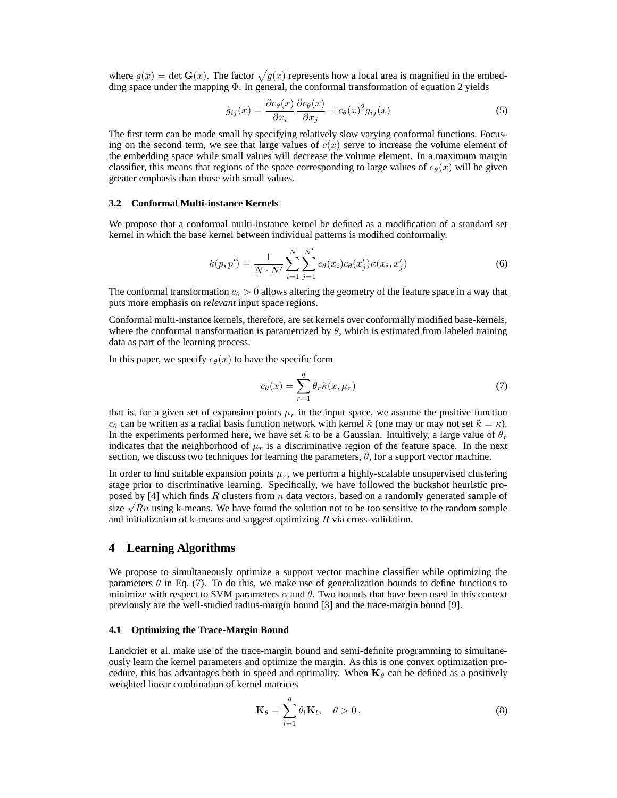where  $g(x) = \det G(x)$ . The factor  $\sqrt{g(x)}$  represents how a local area is magnified in the embedding space under the mapping Φ. In general, the conformal transformation of equation 2 yields

$$
\tilde{g}_{ij}(x) = \frac{\partial c_{\theta}(x)}{\partial x_i} \frac{\partial c_{\theta}(x)}{\partial x_j} + c_{\theta}(x)^2 g_{ij}(x)
$$
\n(5)

The first term can be made small by specifying relatively slow varying conformal functions. Focusing on the second term, we see that large values of  $c(x)$  serve to increase the volume element of the embedding space while small values will decrease the volume element. In a maximum margin classifier, this means that regions of the space corresponding to large values of  $c_{\theta}(x)$  will be given greater emphasis than those with small values.

## **3.2 Conformal Multi-instance Kernels**

We propose that a conformal multi-instance kernel be defined as a modification of a standard set kernel in which the base kernel between individual patterns is modified conformally.

$$
k(p, p') = \frac{1}{N \cdot N'} \sum_{i=1}^{N} \sum_{j=1}^{N'} c_{\theta}(x_i) c_{\theta}(x'_j) \kappa(x_i, x'_j)
$$
(6)

The conformal transformation  $c_{\theta} > 0$  allows altering the geometry of the feature space in a way that puts more emphasis on *relevant* input space regions.

Conformal multi-instance kernels, therefore, are set kernels over conformally modified base-kernels, where the conformal transformation is parametrized by  $\theta$ , which is estimated from labeled training data as part of the learning process.

In this paper, we specify  $c_{\theta}(x)$  to have the specific form

$$
c_{\theta}(x) = \sum_{r=1}^{q} \theta_r \tilde{\kappa}(x, \mu_r)
$$
\n(7)

that is, for a given set of expansion points  $\mu_r$  in the input space, we assume the positive function  $c_{\theta}$  can be written as a radial basis function network with kernel  $\tilde{\kappa}$  (one may or may not set  $\tilde{\kappa} = \kappa$ ). In the experiments performed here, we have set  $\tilde{\kappa}$  to be a Gaussian. Intuitively, a large value of  $\theta_r$ indicates that the neighborhood of  $\mu_r$  is a discriminative region of the feature space. In the next section, we discuss two techniques for learning the parameters,  $\theta$ , for a support vector machine.

In order to find suitable expansion points  $\mu_r$ , we perform a highly-scalable unsupervised clustering stage prior to discriminative learning. Specifically, we have followed the buckshot heuristic proposed by  $[4]$  which finds R clusters from n data vectors, based on a randomly generated sample of size  $\sqrt{Rn}$  using k-means. We have found the solution not to be too sensitive to the random sample and initialization of k-means and suggest optimizing  $R$  via cross-validation.

## **4 Learning Algorithms**

We propose to simultaneously optimize a support vector machine classifier while optimizing the parameters  $\theta$  in Eq. (7). To do this, we make use of generalization bounds to define functions to minimize with respect to SVM parameters  $\alpha$  and  $\theta$ . Two bounds that have been used in this context previously are the well-studied radius-margin bound [3] and the trace-margin bound [9].

#### **4.1 Optimizing the Trace-Margin Bound**

Lanckriet et al. make use of the trace-margin bound and semi-definite programming to simultaneously learn the kernel parameters and optimize the margin. As this is one convex optimization procedure, this has advantages both in speed and optimality. When  $\mathbf{K}_{\theta}$  can be defined as a positively weighted linear combination of kernel matrices

$$
\mathbf{K}_{\theta} = \sum_{l=1}^{q} \theta_l \mathbf{K}_l, \quad \theta > 0, \tag{8}
$$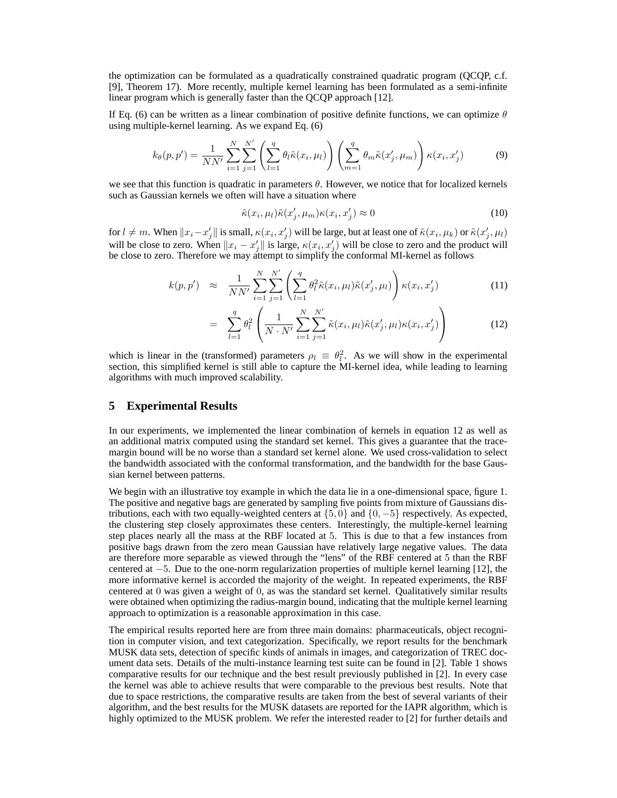the optimization can be formulated as a quadratically constrained quadratic program (QCQP, c.f. [9], Theorem 17). More recently, multiple kernel learning has been formulated as a semi-infinite linear program which is generally faster than the QCQP approach [12].

If Eq. (6) can be written as a linear combination of positive definite functions, we can optimize  $\theta$ using multiple-kernel learning. As we expand Eq. (6)

$$
k_{\theta}(p, p') = \frac{1}{NN'} \sum_{i=1}^{N} \sum_{j=1}^{N'} \left( \sum_{l=1}^{q} \theta_{l} \tilde{\kappa}(x_{i}, \mu_{l}) \right) \left( \sum_{m=1}^{q} \theta_{m} \tilde{\kappa}(x'_{j}, \mu_{m}) \right) \kappa(x_{i}, x'_{j}) \tag{9}
$$

we see that this function is quadratic in parameters  $\theta$ . However, we notice that for localized kernels such as Gaussian kernels we often will have a situation where

$$
\tilde{\kappa}(x_i, \mu_l)\tilde{\kappa}(x'_j, \mu_m)\kappa(x_i, x'_j) \approx 0 \tag{10}
$$

for  $l \neq m$ . When  $||x_i - x'_j||$  is small,  $\kappa(x_i, x'_j)$  will be large, but at least one of  $\tilde{\kappa}(x_i, \mu_k)$  or  $\tilde{\kappa}(x'_j, \mu_l)$ will be close to zero. When  $||x_i - x'_j||$  is large,  $\kappa(x_i, x'_j)$  will be close to zero and the product will be close to zero. Therefore we may attempt to simplify the conformal MI-kernel as follows

$$
k(p, p') \approx \frac{1}{NN'} \sum_{i=1}^{N} \sum_{j=1}^{N'} \left( \sum_{l=1}^{q} \theta_l^2 \tilde{\kappa}(x_i, \mu_l) \tilde{\kappa}(x'_j, \mu_l) \right) \kappa(x_i, x'_j)
$$
(11)

$$
= \sum_{l=1}^{q} \theta_l^2 \left( \frac{1}{N \cdot N'} \sum_{i=1}^{N} \sum_{j=1}^{N'} \tilde{\kappa}(x_i, \mu_l) \tilde{\kappa}(x'_j, \mu_l) \kappa(x_i, x'_j) \right)
$$
(12)

which is linear in the (transformed) parameters  $\rho_l \equiv \theta_l^2$  $\lambda_l^2$ . As we will show in the experimental section, this simplified kernel is still able to capture the MI-kernel idea, while leading to learning algorithms with much improved scalability.

## **5 Experimental Results**

In our experiments, we implemented the linear combination of kernels in equation 12 as well as an additional matrix computed using the standard set kernel. This gives a guarantee that the tracemargin bound will be no worse than a standard set kernel alone. We used cross-validation to select the bandwidth associated with the conformal transformation, and the bandwidth for the base Gaussian kernel between patterns.

We begin with an illustrative toy example in which the data lie in a one-dimensional space, figure 1. The positive and negative bags are generated by sampling five points from mixture of Gaussians distributions, each with two equally-weighted centers at  $\{5, 0\}$  and  $\{0, -5\}$  respectively. As expected, the clustering step closely approximates these centers. Interestingly, the multiple-kernel learning step places nearly all the mass at the RBF located at 5. This is due to that a few instances from positive bags drawn from the zero mean Gaussian have relatively large negative values. The data are therefore more separable as viewed through the "lens" of the RBF centered at 5 than the RBF centered at −5. Due to the one-norm regularization properties of multiple kernel learning [12], the more informative kernel is accorded the majority of the weight. In repeated experiments, the RBF centered at 0 was given a weight of 0, as was the standard set kernel. Qualitatively similar results were obtained when optimizing the radius-margin bound, indicating that the multiple kernel learning approach to optimization is a reasonable approximation in this case.

The empirical results reported here are from three main domains: pharmaceuticals, object recognition in computer vision, and text categorization. Specifically, we report results for the benchmark MUSK data sets, detection of specific kinds of animals in images, and categorization of TREC document data sets. Details of the multi-instance learning test suite can be found in [2]. Table 1 shows comparative results for our technique and the best result previously published in [2]. In every case the kernel was able to achieve results that were comparable to the previous best results. Note that due to space restrictions, the comparative results are taken from the best of several variants of their algorithm, and the best results for the MUSK datasets are reported for the IAPR algorithm, which is highly optimized to the MUSK problem. We refer the interested reader to [2] for further details and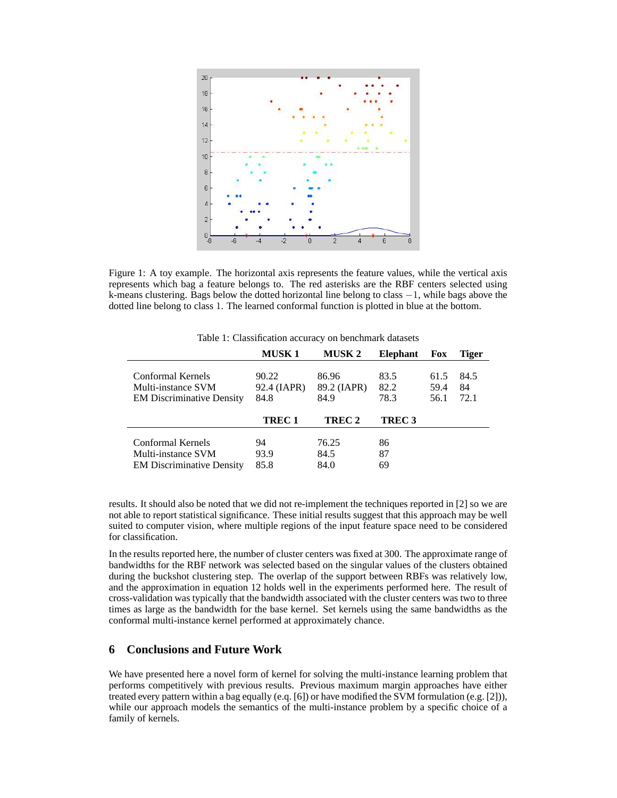

Figure 1: A toy example. The horizontal axis represents the feature values, while the vertical axis represents which bag a feature belongs to. The red asterisks are the RBF centers selected using k-means clustering. Bags below the dotted horizontal line belong to class −1, while bags above the dotted line belong to class 1. The learned conformal function is plotted in blue at the bottom.

|                                                        | <b>MUSK 1</b>       | <b>MUSK 2</b>       | <b>Elephant</b>   | <b>Fox</b>   | <b>Tiger</b> |
|--------------------------------------------------------|---------------------|---------------------|-------------------|--------------|--------------|
| Conformal Kernels                                      | 90.22               | 86.96               | 83.5              | 61.5         | 84.5         |
| Multi-instance SVM<br><b>EM Discriminative Density</b> | 92.4 (IAPR)<br>84.8 | 89.2 (IAPR)<br>84.9 | 82.2<br>78.3      | 59.4<br>56.1 | 84<br>72.1   |
|                                                        | TREC 1              | TREC 2              | TREC <sub>3</sub> |              |              |
| Conformal Kernels                                      | 94                  | 76.25               | 86                |              |              |
| Multi-instance SVM                                     |                     |                     | 87                |              |              |
| <b>EM Discriminative Density</b>                       | 93.9<br>85.8        | 84.5<br>84.0        | 69                |              |              |

Table 1: Classification accuracy on benchmark datasets

results. It should also be noted that we did not re-implement the techniques reported in [2] so we are not able to report statistical significance. These initial results suggest that this approach may be well suited to computer vision, where multiple regions of the input feature space need to be considered for classification.

In the results reported here, the number of cluster centers was fixed at 300. The approximate range of bandwidths for the RBF network was selected based on the singular values of the clusters obtained during the buckshot clustering step. The overlap of the support between RBFs was relatively low, and the approximation in equation 12 holds well in the experiments performed here. The result of cross-validation was typically that the bandwidth associated with the cluster centers was two to three times as large as the bandwidth for the base kernel. Set kernels using the same bandwidths as the conformal multi-instance kernel performed at approximately chance.

# **6 Conclusions and Future Work**

We have presented here a novel form of kernel for solving the multi-instance learning problem that performs competitively with previous results. Previous maximum margin approaches have either treated every pattern within a bag equally (e.q. [6]) or have modified the SVM formulation (e.g. [2])), while our approach models the semantics of the multi-instance problem by a specific choice of a family of kernels.